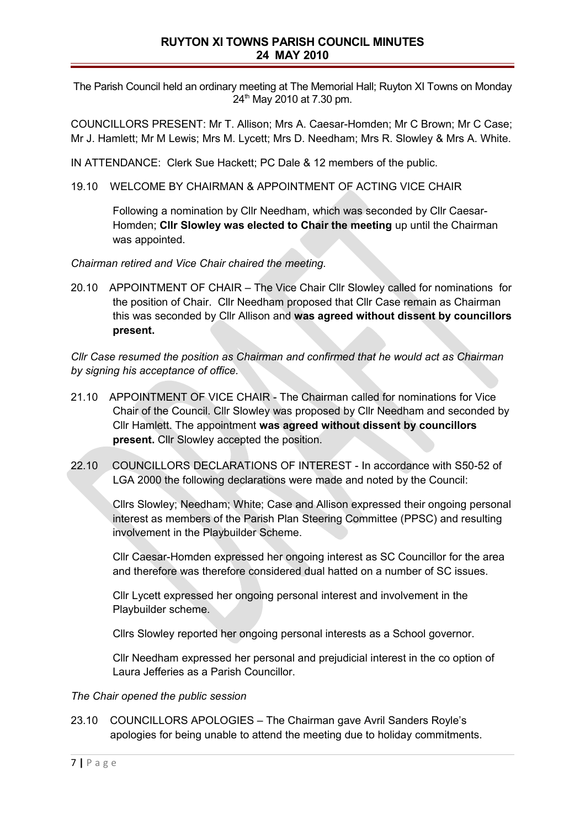## **RUYTON XI TOWNS PARISH COUNCIL MINUTES 24 MAY 2010**

The Parish Council held an ordinary meeting at The Memorial Hall; Ruyton XI Towns on Monday  $24<sup>th</sup>$  May 2010 at 7.30 pm.

COUNCILLORS PRESENT: Mr T. Allison; Mrs A. Caesar-Homden; Mr C Brown; Mr C Case; Mr J. Hamlett; Mr M Lewis; Mrs M. Lycett; Mrs D. Needham; Mrs R. Slowley & Mrs A. White.

IN ATTENDANCE: Clerk Sue Hackett; PC Dale & 12 members of the public.

19.10 WELCOME BY CHAIRMAN & APPOINTMENT OF ACTING VICE CHAIR

Following a nomination by Cllr Needham, which was seconded by Cllr Caesar-Homden; **Cllr Slowley was elected to Chair the meeting** up until the Chairman was appointed.

*Chairman retired and Vice Chair chaired the meeting.*

20.10 APPOINTMENT OF CHAIR – The Vice Chair Cllr Slowley called for nominations for the position of Chair. Cllr Needham proposed that Cllr Case remain as Chairman this was seconded by Cllr Allison and **was agreed without dissent by councillors present.**

*Cllr Case resumed the position as Chairman and confirmed that he would act as Chairman by signing his acceptance of office.*

- 21.10 APPOINTMENT OF VICE CHAIR The Chairman called for nominations for Vice Chair of the Council. Cllr Slowley was proposed by Cllr Needham and seconded by Cllr Hamlett. The appointment **was agreed without dissent by councillors present.** Cllr Slowley accepted the position.
- 22.10 COUNCILLORS DECLARATIONS OF INTEREST In accordance with S50-52 of LGA 2000 the following declarations were made and noted by the Council:

Cllrs Slowley; Needham; White; Case and Allison expressed their ongoing personal interest as members of the Parish Plan Steering Committee (PPSC) and resulting involvement in the Playbuilder Scheme.

Cllr Caesar-Homden expressed her ongoing interest as SC Councillor for the area and therefore was therefore considered dual hatted on a number of SC issues.

Cllr Lycett expressed her ongoing personal interest and involvement in the Playbuilder scheme.

Cllrs Slowley reported her ongoing personal interests as a School governor.

Cllr Needham expressed her personal and prejudicial interest in the co option of Laura Jefferies as a Parish Councillor.

#### *The Chair opened the public session*

23.10 COUNCILLORS APOLOGIES – The Chairman gave Avril Sanders Royle's apologies for being unable to attend the meeting due to holiday commitments.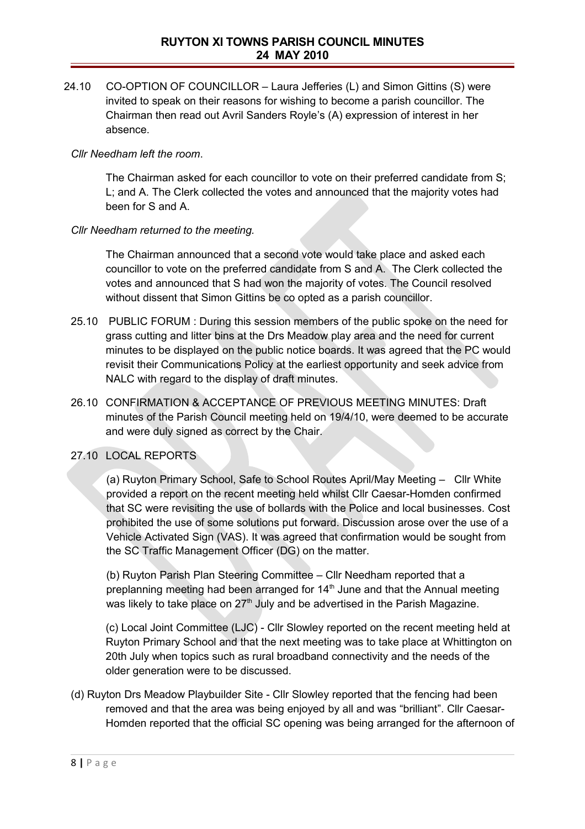24.10 CO-OPTION OF COUNCILLOR – Laura Jefferies (L) and Simon Gittins (S) were invited to speak on their reasons for wishing to become a parish councillor. The Chairman then read out Avril Sanders Royle's (A) expression of interest in her absence.

### *Cllr Needham left the room*.

The Chairman asked for each councillor to vote on their preferred candidate from S; L; and A. The Clerk collected the votes and announced that the majority votes had been for S and A.

### *Cllr Needham returned to the meeting.*

The Chairman announced that a second vote would take place and asked each councillor to vote on the preferred candidate from S and A. The Clerk collected the votes and announced that S had won the majority of votes. The Council resolved without dissent that Simon Gittins be co opted as a parish councillor.

- 25.10 PUBLIC FORUM : During this session members of the public spoke on the need for grass cutting and litter bins at the Drs Meadow play area and the need for current minutes to be displayed on the public notice boards. It was agreed that the PC would revisit their Communications Policy at the earliest opportunity and seek advice from NALC with regard to the display of draft minutes.
- 26.10 CONFIRMATION & ACCEPTANCE OF PREVIOUS MEETING MINUTES: Draft minutes of the Parish Council meeting held on 19/4/10, were deemed to be accurate and were duly signed as correct by the Chair.

## 27.10 LOCAL REPORTS

(a) Ruyton Primary School, Safe to School Routes April/May Meeting – Cllr White provided a report on the recent meeting held whilst Cllr Caesar-Homden confirmed that SC were revisiting the use of bollards with the Police and local businesses. Cost prohibited the use of some solutions put forward. Discussion arose over the use of a Vehicle Activated Sign (VAS). It was agreed that confirmation would be sought from the SC Traffic Management Officer (DG) on the matter.

(b) Ruyton Parish Plan Steering Committee – Cllr Needham reported that a preplanning meeting had been arranged for 14<sup>th</sup> June and that the Annual meeting was likely to take place on 27<sup>th</sup> July and be advertised in the Parish Magazine.

(c) Local Joint Committee (LJC) - Cllr Slowley reported on the recent meeting held at Ruyton Primary School and that the next meeting was to take place at Whittington on 20th July when topics such as rural broadband connectivity and the needs of the older generation were to be discussed.

(d) Ruyton Drs Meadow Playbuilder Site - Cllr Slowley reported that the fencing had been removed and that the area was being enjoyed by all and was "brilliant". Cllr Caesar-Homden reported that the official SC opening was being arranged for the afternoon of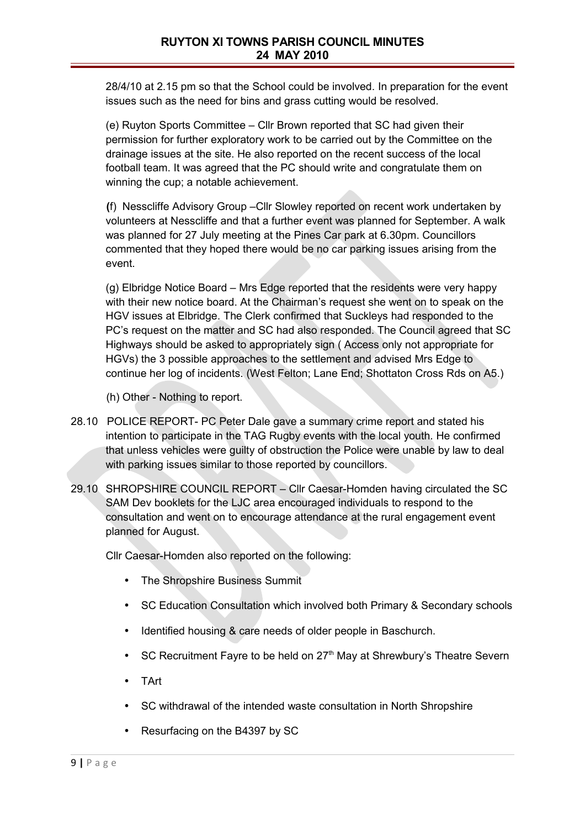28/4/10 at 2.15 pm so that the School could be involved. In preparation for the event issues such as the need for bins and grass cutting would be resolved.

(e) Ruyton Sports Committee – Cllr Brown reported that SC had given their permission for further exploratory work to be carried out by the Committee on the drainage issues at the site. He also reported on the recent success of the local football team. It was agreed that the PC should write and congratulate them on winning the cup; a notable achievement.

**(**f) Nesscliffe Advisory Group –Cllr Slowley reported on recent work undertaken by volunteers at Nesscliffe and that a further event was planned for September. A walk was planned for 27 July meeting at the Pines Car park at 6.30pm. Councillors commented that they hoped there would be no car parking issues arising from the event.

(g) Elbridge Notice Board – Mrs Edge reported that the residents were very happy with their new notice board. At the Chairman's request she went on to speak on the HGV issues at Elbridge. The Clerk confirmed that Suckleys had responded to the PC's request on the matter and SC had also responded. The Council agreed that SC Highways should be asked to appropriately sign ( Access only not appropriate for HGVs) the 3 possible approaches to the settlement and advised Mrs Edge to continue her log of incidents. (West Felton; Lane End; Shottaton Cross Rds on A5.)

(h) Other - Nothing to report.

- 28.10 POLICE REPORT- PC Peter Dale gave a summary crime report and stated his intention to participate in the TAG Rugby events with the local youth. He confirmed that unless vehicles were guilty of obstruction the Police were unable by law to deal with parking issues similar to those reported by councillors.
- 29.10 SHROPSHIRE COUNCIL REPORT Cllr Caesar-Homden having circulated the SC SAM Dev booklets for the LJC area encouraged individuals to respond to the consultation and went on to encourage attendance at the rural engagement event planned for August.

Cllr Caesar-Homden also reported on the following:

- The Shropshire Business Summit
- SC Education Consultation which involved both Primary & Secondary schools
- Identified housing & care needs of older people in Baschurch.
- SC Recruitment Fayre to be held on 27<sup>th</sup> May at Shrewbury's Theatre Severn
- TArt
- SC withdrawal of the intended waste consultation in North Shropshire
- Resurfacing on the B4397 by SC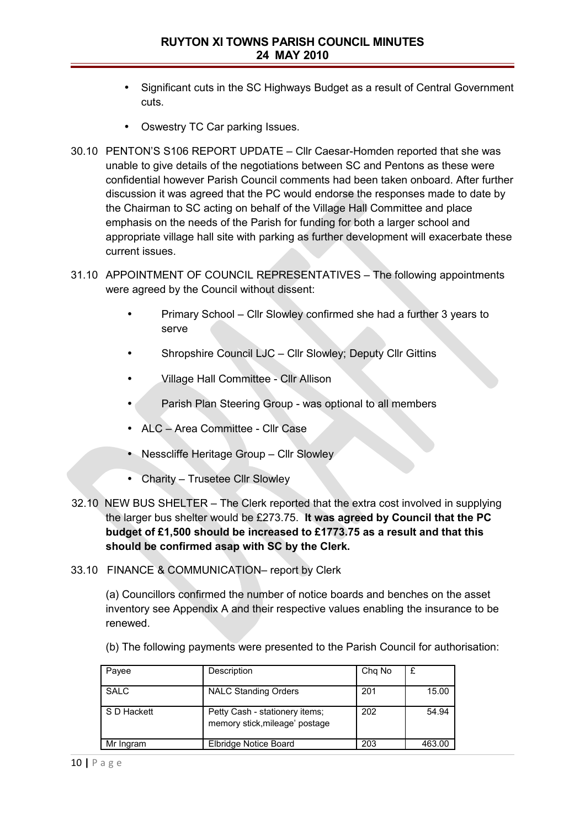- Significant cuts in the SC Highways Budget as a result of Central Government cuts.
- Oswestry TC Car parking Issues.
- 30.10 PENTON'S S106 REPORT UPDATE Cllr Caesar-Homden reported that she was unable to give details of the negotiations between SC and Pentons as these were confidential however Parish Council comments had been taken onboard. After further discussion it was agreed that the PC would endorse the responses made to date by the Chairman to SC acting on behalf of the Village Hall Committee and place emphasis on the needs of the Parish for funding for both a larger school and appropriate village hall site with parking as further development will exacerbate these current issues.
- 31.10 APPOINTMENT OF COUNCIL REPRESENTATIVES The following appointments were agreed by the Council without dissent:
	- Primary School Cllr Slowley confirmed she had a further 3 years to serve
	- Shropshire Council LJC Cllr Slowley; Deputy Cllr Gittins
	- Village Hall Committee Cllr Allison
	- Parish Plan Steering Group was optional to all members
	- ALC Area Committee Cllr Case
	- Nesscliffe Heritage Group Cllr Slowley
	- Charity Trusetee Cllr Slowley
- 32.10 NEW BUS SHELTER The Clerk reported that the extra cost involved in supplying the larger bus shelter would be £273.75. **It was agreed by Council that the PC budget of £1,500 should be increased to £1773.75 as a result and that this should be confirmed asap with SC by the Clerk.**
- 33.10 FINANCE & COMMUNICATION– report by Clerk

(a) Councillors confirmed the number of notice boards and benches on the asset inventory see Appendix A and their respective values enabling the insurance to be renewed.

| Payee       | Description                                                      | Chg No |        |
|-------------|------------------------------------------------------------------|--------|--------|
| SALC        | <b>NALC Standing Orders</b>                                      | 201    | 15.00  |
| S D Hackett | Petty Cash - stationery items;<br>memory stick, mileage' postage | 202    | 54.94  |
| Mr Ingram   | Elbridge Notice Board                                            | 203    | 463.00 |

(b) The following payments were presented to the Parish Council for authorisation: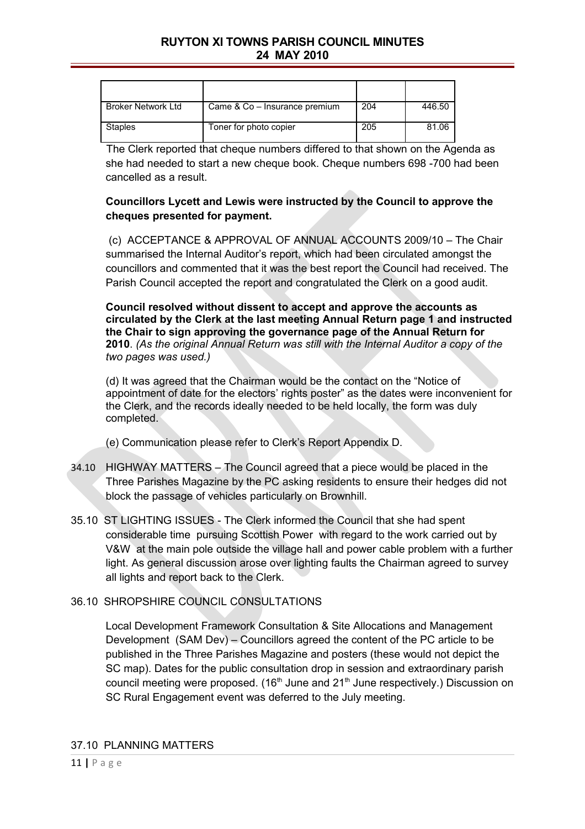# **RUYTON XI TOWNS PARISH COUNCIL MINUTES 24 MAY 2010**

| Broker Network Ltd | Came & Co - Insurance premium | 204 | 446.50 |
|--------------------|-------------------------------|-----|--------|
| Staples            | Toner for photo copier        | 205 | 81.06  |

The Clerk reported that cheque numbers differed to that shown on the Agenda as she had needed to start a new cheque book. Cheque numbers 698 -700 had been cancelled as a result.

## **Councillors Lycett and Lewis were instructed by the Council to approve the cheques presented for payment.**

 (c) ACCEPTANCE & APPROVAL OF ANNUAL ACCOUNTS 2009/10 – The Chair summarised the Internal Auditor's report, which had been circulated amongst the councillors and commented that it was the best report the Council had received. The Parish Council accepted the report and congratulated the Clerk on a good audit.

**Council resolved without dissent to accept and approve the accounts as circulated by the Clerk at the last meeting Annual Return page 1 and instructed the Chair to sign approving the governance page of the Annual Return for 2010**. *(As the original Annual Return was still with the Internal Auditor a copy of the two pages was used.)*

(d) It was agreed that the Chairman would be the contact on the "Notice of appointment of date for the electors' rights poster" as the dates were inconvenient for the Clerk, and the records ideally needed to be held locally, the form was duly completed.

(e) Communication please refer to Clerk's Report Appendix D.

- 34.10 HIGHWAY MATTERS The Council agreed that a piece would be placed in the Three Parishes Magazine by the PC asking residents to ensure their hedges did not block the passage of vehicles particularly on Brownhill.
- 35.10 ST LIGHTING ISSUES The Clerk informed the Council that she had spent considerable time pursuing Scottish Power with regard to the work carried out by V&W at the main pole outside the village hall and power cable problem with a further light. As general discussion arose over lighting faults the Chairman agreed to survey all lights and report back to the Clerk.

### 36.10 SHROPSHIRE COUNCIL CONSULTATIONS

Local Development Framework Consultation & Site Allocations and Management Development (SAM Dev) – Councillors agreed the content of the PC article to be published in the Three Parishes Magazine and posters (these would not depict the SC map). Dates for the public consultation drop in session and extraordinary parish council meeting were proposed.  $(16<sup>th</sup>$  June and  $21<sup>th</sup>$  June respectively.) Discussion on SC Rural Engagement event was deferred to the July meeting.